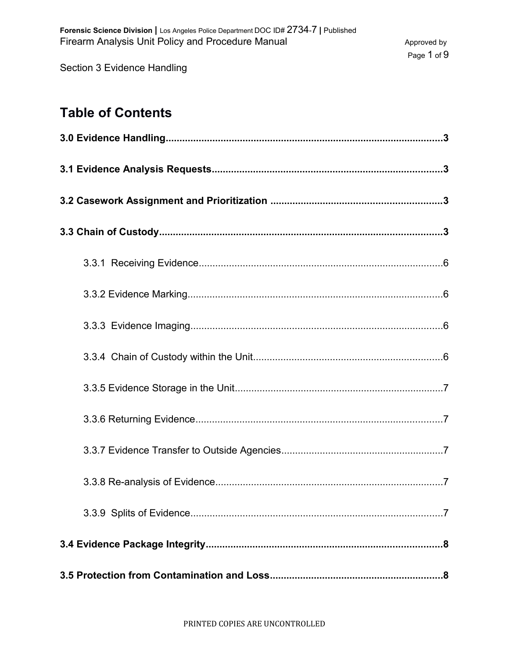# **Table of Contents**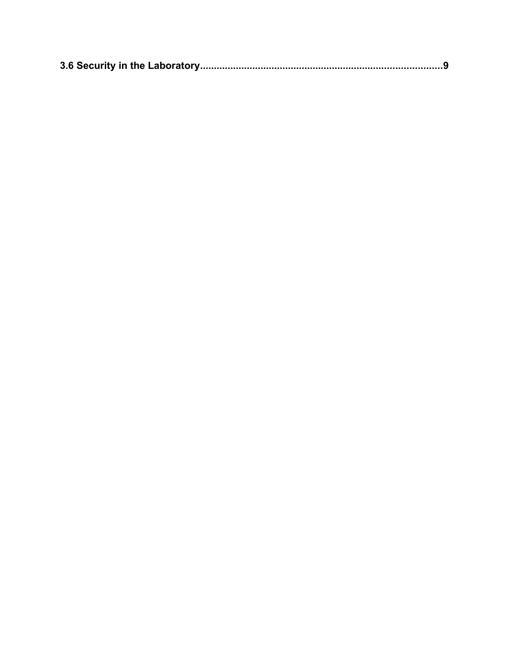|--|--|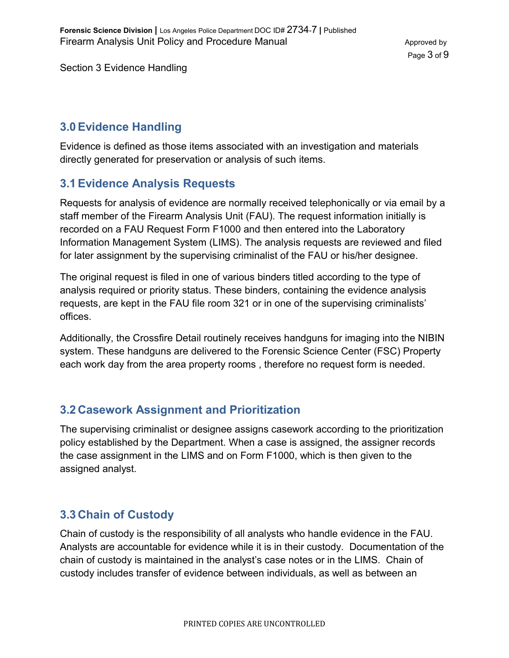## **3.0Evidence Handling**

Evidence is defined as those items associated with an investigation and materials directly generated for preservation or analysis of such items.

## **3.1Evidence Analysis Requests**

Requests for analysis of evidence are normally received telephonically or via email by a staff member of the Firearm Analysis Unit (FAU). The request information initially is recorded on a FAU Request Form F1000 and then entered into the Laboratory Information Management System (LIMS). The analysis requests are reviewed and filed for later assignment by the supervising criminalist of the FAU or his/her designee.

The original request is filed in one of various binders titled according to the type of analysis required or priority status. These binders, containing the evidence analysis requests, are kept in the FAU file room 321 or in one of the supervising criminalists' offices.

Additionally, the Crossfire Detail routinely receives handguns for imaging into the NIBIN system. These handguns are delivered to the Forensic Science Center (FSC) Property each work day from the area property rooms , therefore no request form is needed.

## **3.2 Casework Assignment and Prioritization**

The supervising criminalist or designee assigns casework according to the prioritization policy established by the Department. When a case is assigned, the assigner records the case assignment in the LIMS and on Form F1000, which is then given to the assigned analyst.

# **3.3 Chain of Custody**

Chain of custody is the responsibility of all analysts who handle evidence in the FAU. Analysts are accountable for evidence while it is in their custody. Documentation of the chain of custody is maintained in the analyst's case notes or in the LIMS. Chain of custody includes transfer of evidence between individuals, as well as between an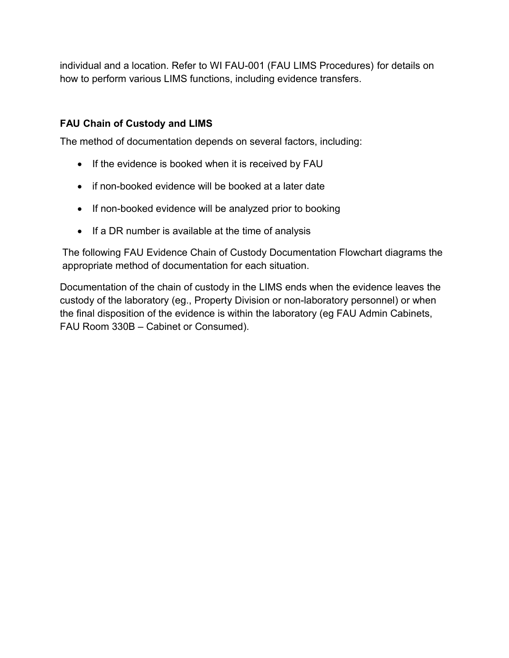individual and a location. Refer to WI FAU-001 (FAU LIMS Procedures) for details on how to perform various LIMS functions, including evidence transfers.

## **FAU Chain of Custody and LIMS**

The method of documentation depends on several factors, including:

- If the evidence is booked when it is received by FAU
- if non-booked evidence will be booked at a later date
- If non-booked evidence will be analyzed prior to booking
- If a DR number is available at the time of analysis

The following FAU Evidence Chain of Custody Documentation Flowchart diagrams the appropriate method of documentation for each situation.

Documentation of the chain of custody in the LIMS ends when the evidence leaves the custody of the laboratory (eg., Property Division or non-laboratory personnel) or when the final disposition of the evidence is within the laboratory (eg FAU Admin Cabinets, FAU Room 330B – Cabinet or Consumed).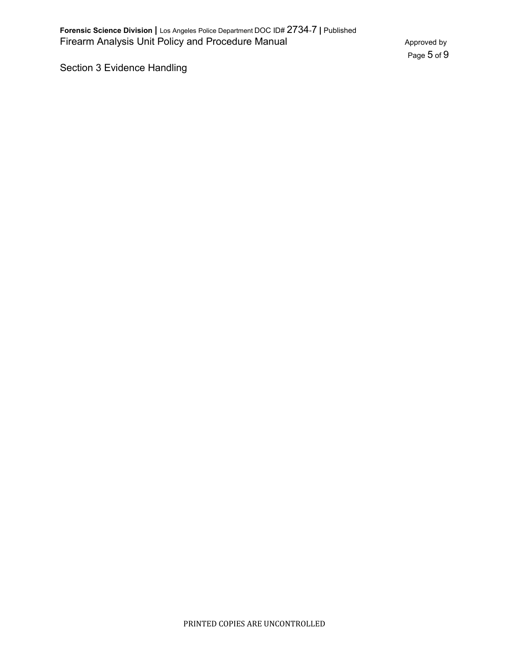Page 5 of 9

Section 3 Evidence Handling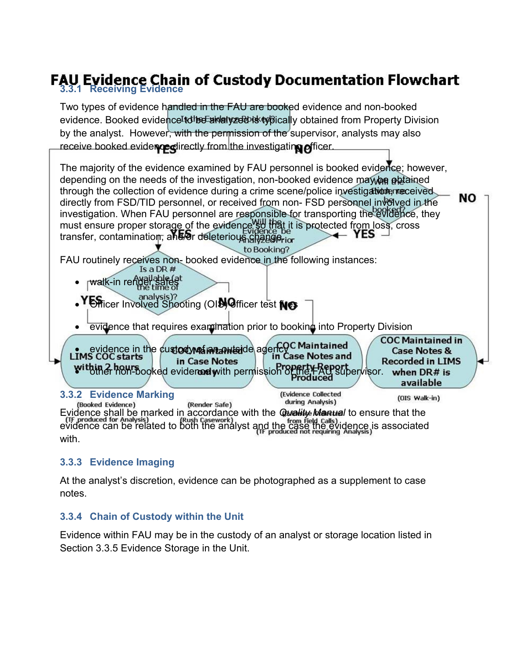# **3.3.1 Receiving Evidence**

Two types of evidence handled in the FAU are booked evidence and non-booked evidence. Booked evidence to be analyzed is typically obtained from Property Division by the analyst. However, with the permission of the supervisor, analysts may also receive booked evidence directly from the investigating officer.

The majority of the evidence examined by FAU personnel is booked evidence; however, depending on the needs of the investigation, non-booked evidence may be obtained through the collection of evidence during a crime scene/police investigation, received **NO** directly from FSD/TID personnel, or received from non- FSD personnel in 60 ved in the investigation. When FAU personnel are responsible for transporting the evidence, they must ensure proper storage of the evidence so that it is protected from loss, cross transfer, contamination, and or deleterious changes to Booking?

FAU routinely receives non- booked evidence in the following instances:

- Is a DR  $#$ walk-in render safe(at
- **YE** Fricer Involved Shooting (OIS) Officer test fires
- evidence that requires examination prior to booking into Property Division



Evidence shall be marked in accordance with the *Quality Manual* to ensure that the **CEV** (IF produced for Analysis) evidence can be related to both the analyst and the case the evidence is associated<br>evidence can be related to both the analyst and the case the evidence is associated with.

## **3.3.3 Evidence Imaging**

At the analyst's discretion, evidence can be photographed as a supplement to case notes.

## **3.3.4 Chain of Custody within the Unit**

Evidence within FAU may be in the custody of an analyst or storage location listed in Section 3.3.5 Evidence Storage in the Unit.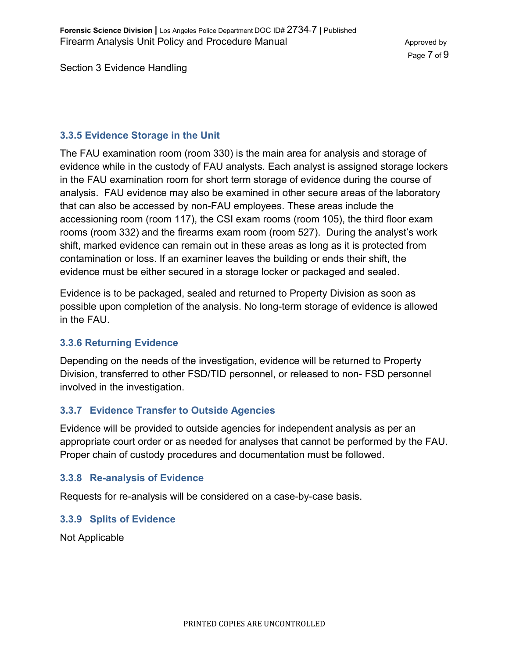#### **3.3.5 Evidence Storage in the Unit**

The FAU examination room (room 330) is the main area for analysis and storage of evidence while in the custody of FAU analysts. Each analyst is assigned storage lockers in the FAU examination room for short term storage of evidence during the course of analysis. FAU evidence may also be examined in other secure areas of the laboratory that can also be accessed by non-FAU employees. These areas include the accessioning room (room 117), the CSI exam rooms (room 105), the third floor exam rooms (room 332) and the firearms exam room (room 527). During the analyst's work shift, marked evidence can remain out in these areas as long as it is protected from contamination or loss. If an examiner leaves the building or ends their shift, the evidence must be either secured in a storage locker or packaged and sealed.

Evidence is to be packaged, sealed and returned to Property Division as soon as possible upon completion of the analysis. No long-term storage of evidence is allowed in the FAU.

#### **3.3.6 Returning Evidence**

Depending on the needs of the investigation, evidence will be returned to Property Division, transferred to other FSD/TID personnel, or released to non- FSD personnel involved in the investigation.

## **3.3.7 Evidence Transfer to Outside Agencies**

Evidence will be provided to outside agencies for independent analysis as per an appropriate court order or as needed for analyses that cannot be performed by the FAU. Proper chain of custody procedures and documentation must be followed.

#### **3.3.8 Re-analysis of Evidence**

Requests for re-analysis will be considered on a case-by-case basis.

#### **3.3.9 Splits of Evidence**

Not Applicable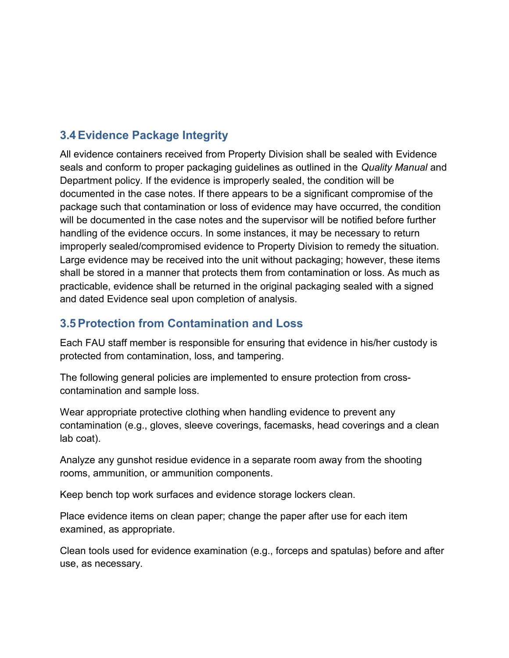# **3.4Evidence Package Integrity**

All evidence containers received from Property Division shall be sealed with Evidence seals and conform to proper packaging guidelines as outlined in the *Quality Manual* and Department policy. If the evidence is improperly sealed, the condition will be documented in the case notes. If there appears to be a significant compromise of the package such that contamination or loss of evidence may have occurred, the condition will be documented in the case notes and the supervisor will be notified before further handling of the evidence occurs. In some instances, it may be necessary to return improperly sealed/compromised evidence to Property Division to remedy the situation. Large evidence may be received into the unit without packaging; however, these items shall be stored in a manner that protects them from contamination or loss. As much as practicable, evidence shall be returned in the original packaging sealed with a signed and dated Evidence seal upon completion of analysis.

## **3.5Protection from Contamination and Loss**

Each FAU staff member is responsible for ensuring that evidence in his/her custody is protected from contamination, loss, and tampering.

The following general policies are implemented to ensure protection from crosscontamination and sample loss.

Wear appropriate protective clothing when handling evidence to prevent any contamination (e.g., gloves, sleeve coverings, facemasks, head coverings and a clean lab coat).

Analyze any gunshot residue evidence in a separate room away from the shooting rooms, ammunition, or ammunition components.

Keep bench top work surfaces and evidence storage lockers clean.

Place evidence items on clean paper; change the paper after use for each item examined, as appropriate.

Clean tools used for evidence examination (e.g., forceps and spatulas) before and after use, as necessary.